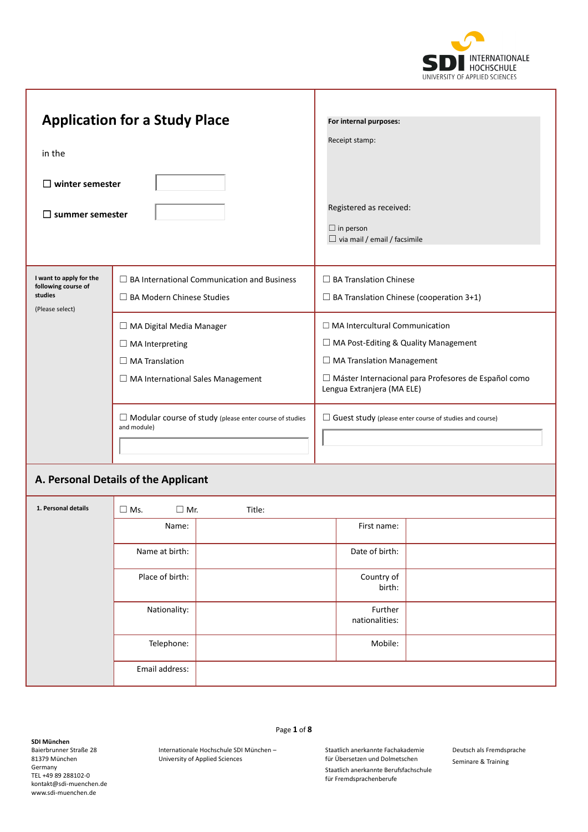

|                                                                                                                                                                        | <b>Application for a Study Place</b>                                                                                      | For internal purposes:                                                                                                                                                                                           |  |  |
|------------------------------------------------------------------------------------------------------------------------------------------------------------------------|---------------------------------------------------------------------------------------------------------------------------|------------------------------------------------------------------------------------------------------------------------------------------------------------------------------------------------------------------|--|--|
| in the                                                                                                                                                                 |                                                                                                                           | Receipt stamp:                                                                                                                                                                                                   |  |  |
| $\Box$ winter semester<br>$\square$ summer semester                                                                                                                    |                                                                                                                           | Registered as received:<br>$\Box$ in person<br>$\Box$ via mail / email / facsimile                                                                                                                               |  |  |
| I want to apply for the<br>$\Box$ BA International Communication and Business<br>following course of<br>studies<br>$\Box$ BA Modern Chinese Studies<br>(Please select) |                                                                                                                           | $\Box$ BA Translation Chinese<br>$\Box$ BA Translation Chinese (cooperation 3+1)                                                                                                                                 |  |  |
|                                                                                                                                                                        | □ MA Digital Media Manager<br>$\Box$ MA Interpreting<br>$\Box$ MA Translation<br>$\Box$ MA International Sales Management | $\Box$ MA Intercultural Communication<br>$\Box$ MA Post-Editing & Quality Management<br>$\Box$ MA Translation Management<br>□ Máster Internacional para Profesores de Español como<br>Lengua Extranjera (MA ELE) |  |  |
|                                                                                                                                                                        | $\Box$ Modular course of study (please enter course of studies<br>and module)                                             | $\Box$ Guest study (please enter course of studies and course)                                                                                                                                                   |  |  |
|                                                                                                                                                                        | A. Personal Details of the Applicant                                                                                      |                                                                                                                                                                                                                  |  |  |
| 1. Personal details                                                                                                                                                    | $\square$ Ms.<br>$\Box$ Mr.<br>Title:                                                                                     |                                                                                                                                                                                                                  |  |  |
|                                                                                                                                                                        | Name:                                                                                                                     | First name:                                                                                                                                                                                                      |  |  |

T

| <b>THE CLASS IS A COMPANY</b> | $\sqcup$ IVIS.<br>$\Box$ IVII. | Title: |                           |
|-------------------------------|--------------------------------|--------|---------------------------|
|                               | Name:                          |        | First name:               |
|                               | Name at birth:                 |        | Date of birth:            |
|                               | Place of birth:                |        | Country of<br>birth:      |
|                               | Nationality:                   |        | Further<br>nationalities: |
|                               | Telephone:                     |        | Mobile:                   |
|                               | Email address:                 |        |                           |

**SDI München** Baierbrunner Straße 28 81379 München Germany TEL +49 89 288102-0 kontakt@sdi-muenchen.de www.sdi-muenchen.de

Page **1** of **8**

Internationale Hochschule SDI München – University of Applied Sciences

Staatlich anerkannte Fachakademie für Übersetzen und Dolmetschen

Staatlich anerkannte Berufsfachschule für Fremdsprachenberufe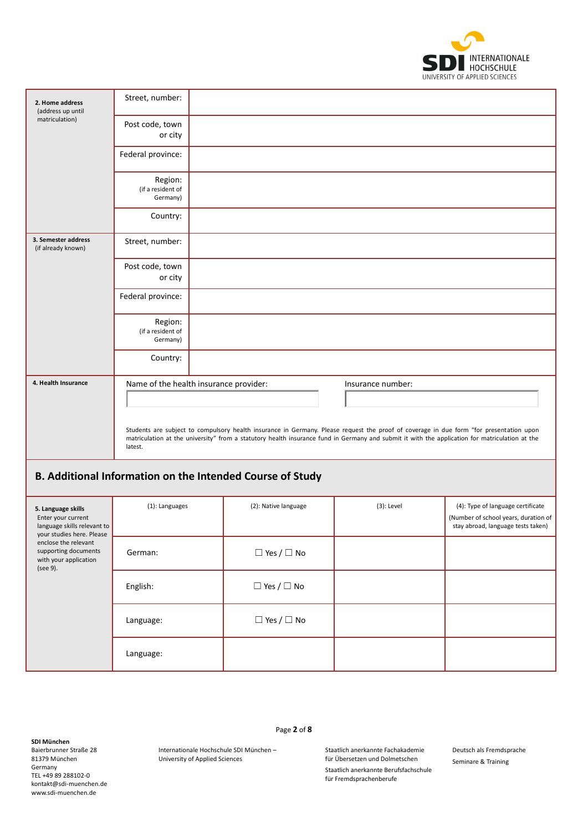

| 2. Home address<br>(address up until                                    | Street, number:                          |                                                                                                                                                                                                                                                                                           |                   |                                                                                                                 |
|-------------------------------------------------------------------------|------------------------------------------|-------------------------------------------------------------------------------------------------------------------------------------------------------------------------------------------------------------------------------------------------------------------------------------------|-------------------|-----------------------------------------------------------------------------------------------------------------|
| matriculation)                                                          | Post code, town<br>or city               |                                                                                                                                                                                                                                                                                           |                   |                                                                                                                 |
|                                                                         | Federal province:                        |                                                                                                                                                                                                                                                                                           |                   |                                                                                                                 |
|                                                                         | Region:<br>(if a resident of<br>Germany) |                                                                                                                                                                                                                                                                                           |                   |                                                                                                                 |
|                                                                         | Country:                                 |                                                                                                                                                                                                                                                                                           |                   |                                                                                                                 |
| 3. Semester address<br>(if already known)                               | Street, number:                          |                                                                                                                                                                                                                                                                                           |                   |                                                                                                                 |
|                                                                         | Post code, town<br>or city               |                                                                                                                                                                                                                                                                                           |                   |                                                                                                                 |
|                                                                         | Federal province:                        |                                                                                                                                                                                                                                                                                           |                   |                                                                                                                 |
|                                                                         | Region:<br>(if a resident of<br>Germany) |                                                                                                                                                                                                                                                                                           |                   |                                                                                                                 |
|                                                                         | Country:                                 |                                                                                                                                                                                                                                                                                           |                   |                                                                                                                 |
| 4. Health Insurance                                                     | Name of the health insurance provider:   |                                                                                                                                                                                                                                                                                           | Insurance number: |                                                                                                                 |
|                                                                         |                                          |                                                                                                                                                                                                                                                                                           |                   |                                                                                                                 |
|                                                                         | latest.                                  | Students are subject to compulsory health insurance in Germany. Please request the proof of coverage in due form "for presentation upon<br>matriculation at the university" from a statutory health insurance fund in Germany and submit it with the application for matriculation at the |                   |                                                                                                                 |
|                                                                         |                                          | B. Additional Information on the Intended Course of Study                                                                                                                                                                                                                                 |                   |                                                                                                                 |
| 5. Language skills<br>Enter your current<br>language skills relevant to | (1): Languages                           | (2): Native language                                                                                                                                                                                                                                                                      | $(3)$ : Level     | (4): Type of language certificate<br>(Number of school years, duration of<br>stay abroad, language tests taken) |

| Enter your current<br>language skills relevant to<br>your studies here. Please<br>enclose the relevant<br>supporting documents<br>with your application<br>(see 9). |           |                        | (Number of school years, du<br>stay abroad, language test |
|---------------------------------------------------------------------------------------------------------------------------------------------------------------------|-----------|------------------------|-----------------------------------------------------------|
|                                                                                                                                                                     | German:   | $\Box$ Yes / $\Box$ No |                                                           |
|                                                                                                                                                                     | English:  | $\Box$ Yes / $\Box$ No |                                                           |
|                                                                                                                                                                     | Language: | $\Box$ Yes / $\Box$ No |                                                           |
|                                                                                                                                                                     | Language: |                        |                                                           |

Baierbrunner Straße 28 81379 München Germany TEL +49 89 288102-0 kontakt@sdi-muenchen.de www.sdi-muenchen.de

Page **2** of **8**

Internationale Hochschule SDI München – University of Applied Sciences

Staatlich anerkannte Fachakademie für Übersetzen und Dolmetschen

> Staatlich anerkannte Berufsfachschule für Fremdsprachenberufe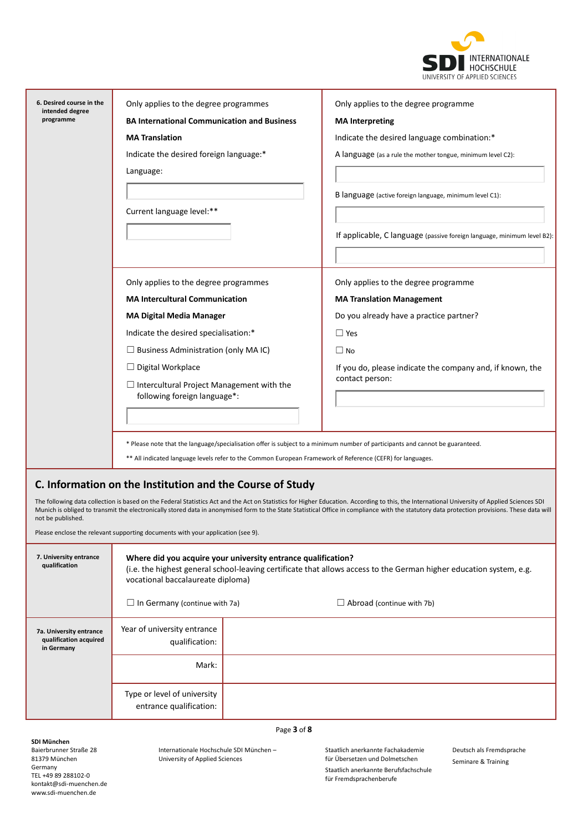

| 6. Desired course in the<br>intended degree                     | Only applies to the degree programmes                                                                                                                                                                                     |                                                                                                                               | Only applies to the degree programme                                                                                                                                                                                                                                                                                                                                                         |  |
|-----------------------------------------------------------------|---------------------------------------------------------------------------------------------------------------------------------------------------------------------------------------------------------------------------|-------------------------------------------------------------------------------------------------------------------------------|----------------------------------------------------------------------------------------------------------------------------------------------------------------------------------------------------------------------------------------------------------------------------------------------------------------------------------------------------------------------------------------------|--|
| programme                                                       | <b>BA International Communication and Business</b>                                                                                                                                                                        |                                                                                                                               | <b>MA</b> Interpreting                                                                                                                                                                                                                                                                                                                                                                       |  |
|                                                                 | <b>MA Translation</b>                                                                                                                                                                                                     |                                                                                                                               | Indicate the desired language combination:*                                                                                                                                                                                                                                                                                                                                                  |  |
|                                                                 | Indicate the desired foreign language:*                                                                                                                                                                                   |                                                                                                                               | A language (as a rule the mother tongue, minimum level C2):                                                                                                                                                                                                                                                                                                                                  |  |
|                                                                 | Language:                                                                                                                                                                                                                 |                                                                                                                               |                                                                                                                                                                                                                                                                                                                                                                                              |  |
|                                                                 |                                                                                                                                                                                                                           |                                                                                                                               | B language (active foreign language, minimum level C1):                                                                                                                                                                                                                                                                                                                                      |  |
|                                                                 | Current language level:**                                                                                                                                                                                                 |                                                                                                                               |                                                                                                                                                                                                                                                                                                                                                                                              |  |
|                                                                 |                                                                                                                                                                                                                           |                                                                                                                               |                                                                                                                                                                                                                                                                                                                                                                                              |  |
|                                                                 |                                                                                                                                                                                                                           |                                                                                                                               | If applicable, C language (passive foreign language, minimum level B2):                                                                                                                                                                                                                                                                                                                      |  |
|                                                                 |                                                                                                                                                                                                                           |                                                                                                                               |                                                                                                                                                                                                                                                                                                                                                                                              |  |
|                                                                 | Only applies to the degree programmes                                                                                                                                                                                     |                                                                                                                               | Only applies to the degree programme                                                                                                                                                                                                                                                                                                                                                         |  |
|                                                                 | <b>MA Intercultural Communication</b>                                                                                                                                                                                     |                                                                                                                               | <b>MA Translation Management</b>                                                                                                                                                                                                                                                                                                                                                             |  |
|                                                                 | <b>MA Digital Media Manager</b>                                                                                                                                                                                           |                                                                                                                               | Do you already have a practice partner?                                                                                                                                                                                                                                                                                                                                                      |  |
|                                                                 | Indicate the desired specialisation:*                                                                                                                                                                                     |                                                                                                                               | $\Box$ Yes                                                                                                                                                                                                                                                                                                                                                                                   |  |
|                                                                 | $\Box$ Business Administration (only MA IC)                                                                                                                                                                               |                                                                                                                               | $\Box$ No                                                                                                                                                                                                                                                                                                                                                                                    |  |
|                                                                 | $\Box$ Digital Workplace                                                                                                                                                                                                  |                                                                                                                               | If you do, please indicate the company and, if known, the                                                                                                                                                                                                                                                                                                                                    |  |
|                                                                 | $\Box$ Intercultural Project Management with the<br>following foreign language*:                                                                                                                                          |                                                                                                                               | contact person:                                                                                                                                                                                                                                                                                                                                                                              |  |
|                                                                 |                                                                                                                                                                                                                           |                                                                                                                               |                                                                                                                                                                                                                                                                                                                                                                                              |  |
|                                                                 |                                                                                                                                                                                                                           |                                                                                                                               |                                                                                                                                                                                                                                                                                                                                                                                              |  |
|                                                                 |                                                                                                                                                                                                                           | * Please note that the language/specialisation offer is subject to a minimum number of participants and cannot be guaranteed. |                                                                                                                                                                                                                                                                                                                                                                                              |  |
|                                                                 |                                                                                                                                                                                                                           | ** All indicated language levels refer to the Common European Framework of Reference (CEFR) for languages.                    |                                                                                                                                                                                                                                                                                                                                                                                              |  |
|                                                                 | C. Information on the Institution and the Course of Study                                                                                                                                                                 |                                                                                                                               |                                                                                                                                                                                                                                                                                                                                                                                              |  |
| not be published.                                               |                                                                                                                                                                                                                           |                                                                                                                               | The following data collection is based on the Federal Statistics Act and the Act on Statistics for Higher Education. According to this, the International University of Applied Sciences SDI<br>Munich is obliged to transmit the electronically stored data in anonymised form to the State Statistical Office in compliance with the statutory data protection provisions. These data will |  |
|                                                                 | Please enclose the relevant supporting documents with your application (see 9).                                                                                                                                           |                                                                                                                               |                                                                                                                                                                                                                                                                                                                                                                                              |  |
| 7. University entrance<br>qualification                         | Where did you acquire your university entrance qualification?<br>(i.e. the highest general school-leaving certificate that allows access to the German higher education system, e.g.<br>vocational baccalaureate diploma) |                                                                                                                               |                                                                                                                                                                                                                                                                                                                                                                                              |  |
|                                                                 | $\Box$ In Germany (continue with 7a)                                                                                                                                                                                      |                                                                                                                               | $\Box$ Abroad (continue with 7b)                                                                                                                                                                                                                                                                                                                                                             |  |
| 7a. University entrance<br>qualification acquired<br>in Germany | Year of university entrance<br>qualification:                                                                                                                                                                             |                                                                                                                               |                                                                                                                                                                                                                                                                                                                                                                                              |  |
|                                                                 | Mark:                                                                                                                                                                                                                     |                                                                                                                               |                                                                                                                                                                                                                                                                                                                                                                                              |  |
|                                                                 | Type or level of university<br>entrance qualification:                                                                                                                                                                    |                                                                                                                               |                                                                                                                                                                                                                                                                                                                                                                                              |  |

**SDI München**

Baierbrunner Straße 28 81379 München Germany TEL +49 89 288102-0 kontakt@sdi-muenchen.de www.sdi-muenchen.de

Internationale Hochschule SDI München – University of Applied Sciences

Page **3** of **8**

Staatlich anerkannte Fachakademie für Übersetzen und Dolmetschen

Staatlich anerkannte Berufsfachschule für Fremdsprachenberufe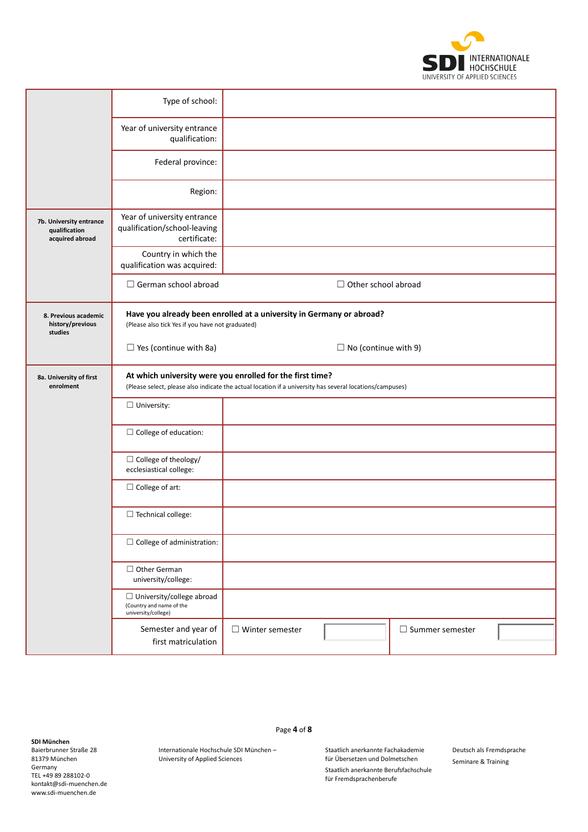

|                                                             | Type of school:                                                                     |                                                                                                                                                                       |                             |                        |  |
|-------------------------------------------------------------|-------------------------------------------------------------------------------------|-----------------------------------------------------------------------------------------------------------------------------------------------------------------------|-----------------------------|------------------------|--|
|                                                             | Year of university entrance<br>qualification:                                       |                                                                                                                                                                       |                             |                        |  |
|                                                             | Federal province:                                                                   |                                                                                                                                                                       |                             |                        |  |
|                                                             | Region:                                                                             |                                                                                                                                                                       |                             |                        |  |
| 7b. University entrance<br>qualification<br>acquired abroad | Year of university entrance<br>qualification/school-leaving<br>certificate:         |                                                                                                                                                                       |                             |                        |  |
|                                                             | Country in which the<br>qualification was acquired:                                 |                                                                                                                                                                       |                             |                        |  |
|                                                             | $\Box$ German school abroad                                                         |                                                                                                                                                                       | $\Box$ Other school abroad  |                        |  |
| 8. Previous academic<br>history/previous<br>studies         | (Please also tick Yes if you have not graduated)                                    | Have you already been enrolled at a university in Germany or abroad?                                                                                                  |                             |                        |  |
|                                                             | $\Box$ Yes (continue with 8a)                                                       |                                                                                                                                                                       | $\Box$ No (continue with 9) |                        |  |
| 8a. University of first<br>enrolment                        |                                                                                     | At which university were you enrolled for the first time?<br>(Please select, please also indicate the actual location if a university has several locations/campuses) |                             |                        |  |
|                                                             | $\Box$ University:                                                                  |                                                                                                                                                                       |                             |                        |  |
|                                                             | $\Box$ College of education:                                                        |                                                                                                                                                                       |                             |                        |  |
|                                                             | $\Box$ College of theology/<br>ecclesiastical college:                              |                                                                                                                                                                       |                             |                        |  |
|                                                             | $\Box$ College of art:                                                              |                                                                                                                                                                       |                             |                        |  |
|                                                             | $\Box$ Technical college:                                                           |                                                                                                                                                                       |                             |                        |  |
|                                                             | $\Box$ College of administration:                                                   |                                                                                                                                                                       |                             |                        |  |
|                                                             | $\Box$ Other German<br>university/college:                                          |                                                                                                                                                                       |                             |                        |  |
|                                                             | $\Box$ University/college abroad<br>(Country and name of the<br>university/college) |                                                                                                                                                                       |                             |                        |  |
|                                                             | Semester and year of<br>first matriculation                                         | $\Box$ Winter semester                                                                                                                                                |                             | $\Box$ Summer semester |  |

**SDI München**

Baierbrunner Straße 28 81379 München Germany TEL +49 89 288102-0 kontakt@sdi-muenchen.de www.sdi-muenchen.de

Page **4** of **8**

Internationale Hochschule SDI München – University of Applied Sciences

Staatlich anerkannte Fachakademie für Übersetzen und Dolmetschen

Staatlich anerkannte Berufsfachschule für Fremdsprachenberufe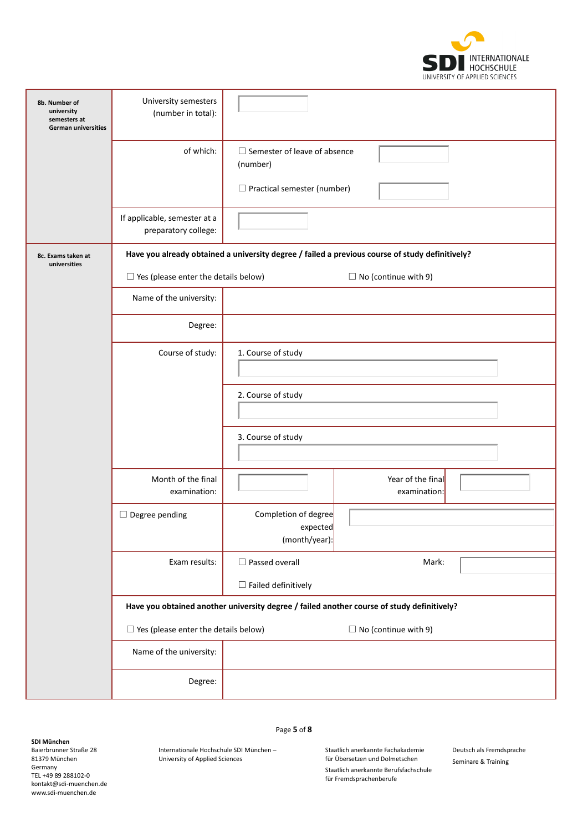

| 8b. Number of<br>university<br>semesters at<br>German universities | University semesters<br>(number in total):           |                                                                                                 |                                                                                            |  |
|--------------------------------------------------------------------|------------------------------------------------------|-------------------------------------------------------------------------------------------------|--------------------------------------------------------------------------------------------|--|
|                                                                    | of which:                                            | $\Box$ Semester of leave of absence<br>(number)<br>$\Box$ Practical semester (number)           |                                                                                            |  |
|                                                                    | If applicable, semester at a<br>preparatory college: |                                                                                                 |                                                                                            |  |
| 8c. Exams taken at<br>universities                                 |                                                      | Have you already obtained a university degree / failed a previous course of study definitively? |                                                                                            |  |
|                                                                    | $\Box$ Yes (please enter the details below)          |                                                                                                 | $\Box$ No (continue with 9)                                                                |  |
|                                                                    | Name of the university:                              |                                                                                                 |                                                                                            |  |
|                                                                    | Degree:                                              |                                                                                                 |                                                                                            |  |
|                                                                    | Course of study:                                     | 1. Course of study                                                                              |                                                                                            |  |
|                                                                    |                                                      | 2. Course of study                                                                              |                                                                                            |  |
|                                                                    |                                                      | 3. Course of study                                                                              |                                                                                            |  |
|                                                                    | Month of the final<br>examination:                   |                                                                                                 | Year of the final<br>examination:                                                          |  |
|                                                                    | $\Box$ Degree pending                                | Completion of degree<br>expected<br>(month/year):                                               |                                                                                            |  |
|                                                                    | Exam results:                                        | $\Box$ Passed overall<br>$\Box$ Failed definitively                                             | Mark:                                                                                      |  |
|                                                                    |                                                      |                                                                                                 | Have you obtained another university degree / failed another course of study definitively? |  |
|                                                                    | $\Box$ Yes (please enter the details below)          |                                                                                                 | $\Box$ No (continue with 9)                                                                |  |
|                                                                    | Name of the university:                              |                                                                                                 |                                                                                            |  |
|                                                                    | Degree:                                              |                                                                                                 |                                                                                            |  |

Baierbrunner Straße 28 81379 München Germany TEL +49 89 288102-0 kontakt@sdi-muenchen.de www.sdi-muenchen.de

Page **5** of **8**

Internationale Hochschule SDI München – University of Applied Sciences

Staatlich anerkannte Fachakademie für Übersetzen und Dolmetschen

Deutsch als Fremdsprache Seminare & Training

Staatlich anerkannte Berufsfachschule für Fremdsprachenberufe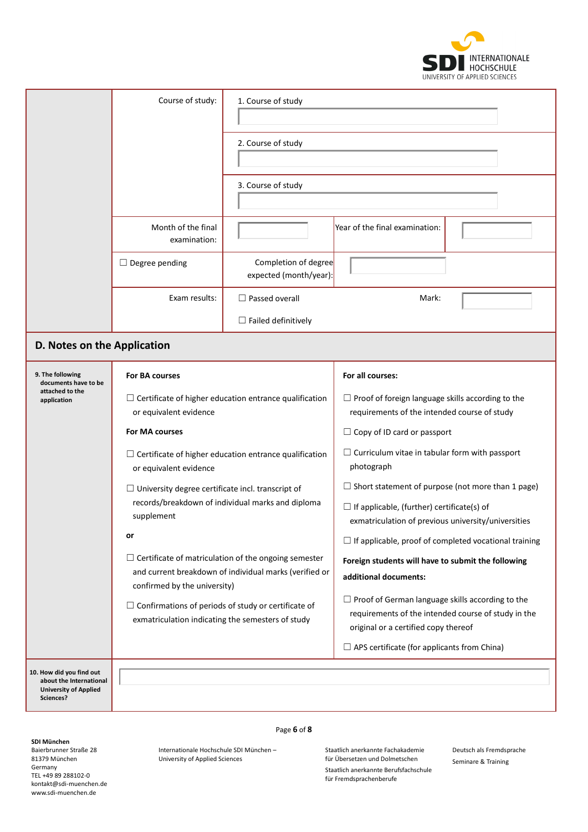

|                                                                                                  | Course of study:                                                                                                                                | 1. Course of study                                            |                                                                                                                                                        |  |
|--------------------------------------------------------------------------------------------------|-------------------------------------------------------------------------------------------------------------------------------------------------|---------------------------------------------------------------|--------------------------------------------------------------------------------------------------------------------------------------------------------|--|
|                                                                                                  |                                                                                                                                                 | 2. Course of study                                            |                                                                                                                                                        |  |
|                                                                                                  |                                                                                                                                                 | 3. Course of study                                            |                                                                                                                                                        |  |
|                                                                                                  | Month of the final<br>examination:                                                                                                              |                                                               | Year of the final examination:                                                                                                                         |  |
|                                                                                                  | $\Box$ Degree pending                                                                                                                           | Completion of degree<br>expected (month/year):                |                                                                                                                                                        |  |
|                                                                                                  | Exam results:                                                                                                                                   | $\Box$ Passed overall<br>$\Box$ Failed definitively           | Mark:                                                                                                                                                  |  |
|                                                                                                  |                                                                                                                                                 |                                                               |                                                                                                                                                        |  |
| D. Notes on the Application                                                                      |                                                                                                                                                 |                                                               |                                                                                                                                                        |  |
| 9. The following<br>documents have to be                                                         | For BA courses                                                                                                                                  |                                                               | For all courses:                                                                                                                                       |  |
| attached to the<br>application                                                                   | or equivalent evidence                                                                                                                          | $\Box$ Certificate of higher education entrance qualification | $\Box$ Proof of foreign language skills according to the<br>requirements of the intended course of study                                               |  |
|                                                                                                  | For MA courses                                                                                                                                  |                                                               | $\Box$ Copy of ID card or passport                                                                                                                     |  |
|                                                                                                  | or equivalent evidence                                                                                                                          | $\Box$ Certificate of higher education entrance qualification | $\Box$ Curriculum vitae in tabular form with passport<br>photograph                                                                                    |  |
|                                                                                                  | $\Box$ University degree certificate incl. transcript of                                                                                        |                                                               | $\Box$ Short statement of purpose (not more than 1 page)                                                                                               |  |
|                                                                                                  | supplement                                                                                                                                      | records/breakdown of individual marks and diploma             | $\Box$ If applicable, (further) certificate(s) of<br>exmatriculation of previous university/universities                                               |  |
|                                                                                                  | or                                                                                                                                              |                                                               | $\Box$ If applicable, proof of completed vocational training                                                                                           |  |
|                                                                                                  | $\Box$ Certificate of matriculation of the ongoing semester<br>and current breakdown of individual marks (verified or                           |                                                               | Foreign students will have to submit the following<br>additional documents:                                                                            |  |
|                                                                                                  | confirmed by the university)<br>$\Box$ Confirmations of periods of study or certificate of<br>exmatriculation indicating the semesters of study |                                                               | $\Box$ Proof of German language skills according to the<br>requirements of the intended course of study in the<br>original or a certified copy thereof |  |
|                                                                                                  |                                                                                                                                                 |                                                               | $\Box$ APS certificate (for applicants from China)                                                                                                     |  |
| 10. How did you find out<br>about the International<br><b>University of Applied</b><br>Sciences? |                                                                                                                                                 |                                                               |                                                                                                                                                        |  |

Page **6** of **8**

## **SDI München**

Baierbrunner Straße 28 81379 München Germany TEL +49 89 288102-0 kontakt@sdi-muenchen.de www.sdi-muenchen.de

Internationale Hochschule SDI München – University of Applied Sciences

Staatlich anerkannte Fachakademie für Übersetzen und Dolmetschen

Deutsch als Fremdsprache Seminare & Training

Staatlich anerkannte Berufsfachschule für Fremdsprachenberufe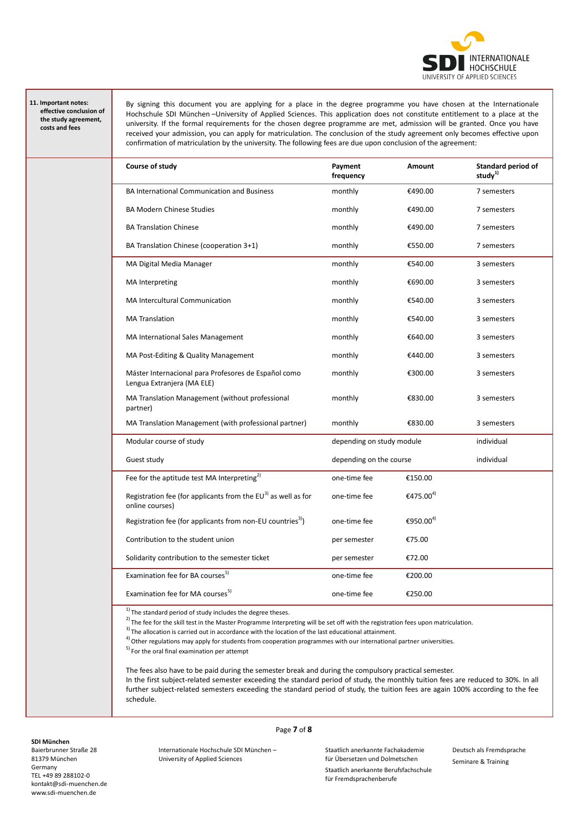

## **11. Important notes: effective conclusion of the study agreement, costs and fees**

By signing this document you are applying for a place in the degree programme you have chosen at the Internationale Hochschule SDI München –University of Applied Sciences. This application does not constitute entitlement to a place at the university. If the formal requirements for the chosen degree programme are met, admission will be granted. Once you have received your admission, you can apply for matriculation. The conclusion of the study agreement only becomes effective upon confirmation of matriculation by the university. The following fees are due upon conclusion of the agreement:

| Course of study                                                                        | Payment<br>frequency      | <b>Amount</b>         | <b>Standard period of</b><br>study $^{1)}$ |
|----------------------------------------------------------------------------------------|---------------------------|-----------------------|--------------------------------------------|
| <b>BA International Communication and Business</b>                                     | monthly                   | €490.00               | 7 semesters                                |
| <b>BA Modern Chinese Studies</b>                                                       | monthly                   | €490.00               | 7 semesters                                |
| <b>BA Translation Chinese</b>                                                          | monthly                   | €490.00               | 7 semesters                                |
| BA Translation Chinese (cooperation 3+1)                                               | monthly                   | €550.00               | 7 semesters                                |
| MA Digital Media Manager                                                               | monthly                   | €540.00               | 3 semesters                                |
| <b>MA</b> Interpreting                                                                 | monthly                   | €690.00               | 3 semesters                                |
| <b>MA Intercultural Communication</b>                                                  | monthly                   | €540.00               | 3 semesters                                |
| <b>MA Translation</b>                                                                  | monthly                   | €540.00               | 3 semesters                                |
| MA International Sales Management                                                      | monthly                   | €640.00               | 3 semesters                                |
| MA Post-Editing & Quality Management                                                   | monthly                   | €440.00               | 3 semesters                                |
| Máster Internacional para Profesores de Español como<br>Lengua Extranjera (MA ELE)     | monthly                   | €300.00               | 3 semesters                                |
| MA Translation Management (without professional<br>partner)                            | monthly                   | €830.00               | 3 semesters                                |
| MA Translation Management (with professional partner)                                  | monthly                   | €830.00               | 3 semesters                                |
| Modular course of study                                                                | depending on study module |                       | individual                                 |
| Guest study                                                                            | depending on the course   |                       | individual                                 |
| Fee for the aptitude test MA Interpreting <sup>2)</sup>                                | one-time fee              | €150.00               |                                            |
| Registration fee (for applicants from the $EU^{3}$ ) as well as for<br>online courses) | one-time fee              | €475.00 <sup>4)</sup> |                                            |
| Registration fee (for applicants from non-EU countries <sup>3)</sup> )                 | one-time fee              | €950.00 <sup>4)</sup> |                                            |
| Contribution to the student union                                                      | per semester              | €75.00                |                                            |
| Solidarity contribution to the semester ticket                                         | per semester              | €72.00                |                                            |
| Examination fee for BA courses <sup>5)</sup>                                           | one-time fee              | €200.00               |                                            |
| Examination fee for MA courses <sup>5)</sup>                                           | one-time fee              | €250.00               |                                            |

 $1)$  The standard period of study includes the degree theses.

 $^{2)}$  The fee for the skill test in the Master Programme Interpreting will be set off with the registration fees upon matriculation.

 $3)$  The allocation is carried out in accordance with the location of the last educational attainment

 $4)$  Other regulations may apply for students from cooperation programmes with our international partner universities.

5) For the oral final examination per attempt

University of Applied Sciences

The fees also have to be paid during the semester break and during the compulsory practical semester.

Page **7** of **8**

In the first subject-related semester exceeding the standard period of study, the monthly tuition fees are reduced to 30%. In all further subject-related semesters exceeding the standard period of study, the tuition fees are again 100% according to the fee schedule.

## **SDI München** Baierbrunner Straße 28 81379 München Germany TEL +49 89 288102-0 kontakt@sdi-muenchen.de www.sdi-muenchen.de

Internationale Hochschule SDI München –

Staatlich anerkannte Fachakademie für Übersetzen und Dolmetschen

Staatlich anerkannte Berufsfachschule für Fremdsprachenberufe